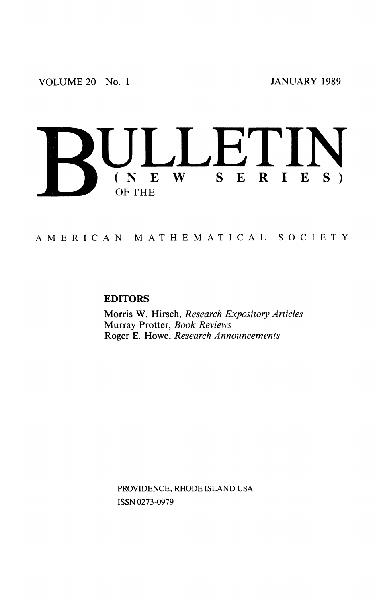

AMERICA N MATHEMATICA L SOCIET Y

## **EDITORS**

**Morris W. Hirsch,** *Research Expository Articles*  **Murray Protter,** *Book Reviews*  **Roger E. Howe,** *Research Announcements* 

PROVIDENCE, RHODE ISLAND USA ISSN 0273-0979